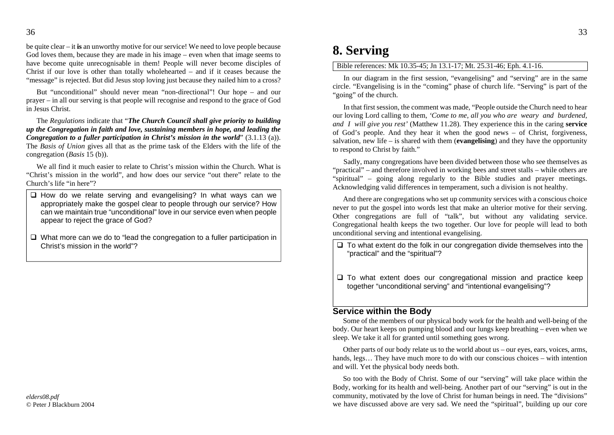be quite clear – it**is** an unworthy motive for our service! We need to love people because God loves them, because they are made in his image – even when that image seems to have become quite unrecognisable in them! People will never become disciples of Christ if our love is other than totally wholehearted – and if it ceases because the "message" is rejected. But did Jesus stop loving just because they nailed him to a cross?

But "unconditional" should never mean "non-directional"! Our hope – and our prayer – in all our serving is that people will recognise and respond to the grace of God in Jesus Christ.

The *Regulations* indicate that "*The Church Council shall give priority to building up the Congregation in faith and love, sustaining members in hope, and leading the Congregation to a fuller participation in Christ's mission in the world*" (3.1.13 (a)). The *Basis of Union* gives all that as the prime task of the Elders with the life of the congregation (*Basis* 15 (b)).

We all find it much easier to relate to Christ's mission within the Church. What is "Christ's mission in the world", and how does our service "out there" relate to the Church's life "in here"?

- $\Box$  How do we relate serving and evangelising? In what ways can we appropriately make the gospel clear to people through our service? How can we maintain true "unconditional" love in our service even when people appear to reject the grace of God?
- $\Box$  What more can we do to "lead the congregation to a fuller participation in Christ's mission in the world"?

## **8. Serving**

Bible references: Mk 10.35-45; Jn 13.1-17; Mt. 25.31-46; Eph. 4.1-16.

In our diagram in the first session, "evangelising" and "serving" are in the same circle. "Evangelising is in the "coming" phase of church life. "Serving" is part of the "going" of the church.

In that first session, the comment was made, "People outside the Church need to hear our loving Lord calling to them, *'Come to me, all you who are weary and burdened, and I will give you rest'* (Matthew 11.28). They experience this in the caring **service** of God's people. And they hear it when the good news – of Christ, forgiveness, salvation, new life – is shared with them (**evangelising**) and they have the opportunity to respond to Christ by faith."

Sadly, many congregations have been divided between those who see themselves as "practical" – and therefore involved in working bees and street stalls – while others are "spiritual" – going along regularly to the Bible studies and prayer meetings. Acknowledging valid differences in temperament, such a division is not healthy.

And there are congregations who set up community services with a conscious choice never to put the gospel into words lest that make an ulterior motive for their serving. Other congregations are full of "talk", but without any validating service. Congregational health keeps the two together. Our love for people will lead to both unconditional serving and intentional evangelising.

- $\Box$  To what extent do the folk in our congregation divide themselves into the "practical" and the "spiritual"?
- $\square$  To what extent does our congregational mission and practice keep together "unconditional serving" and "intentional evangelising"?

## **Service within the Body**

Some of the members of our physical body work for the health and well-being of the body. Our heart keeps on pumping blood and our lungs keep breathing – even when we sleep. We take it all for granted until something goes wrong.

Other parts of our body relate us to the world about us – our eyes, ears, voices, arms, hands, legs... They have much more to do with our conscious choices – with intention and will. Yet the physical body needs both.

So too with the Body of Christ. Some of our "serving" will take place within the Body, working for its health and well-being. Another part of our "serving" is out in the community, motivated by the love of Christ for human beings in need. The "divisions" we have discussed above are very sad. We need the "spiritual", building up our core